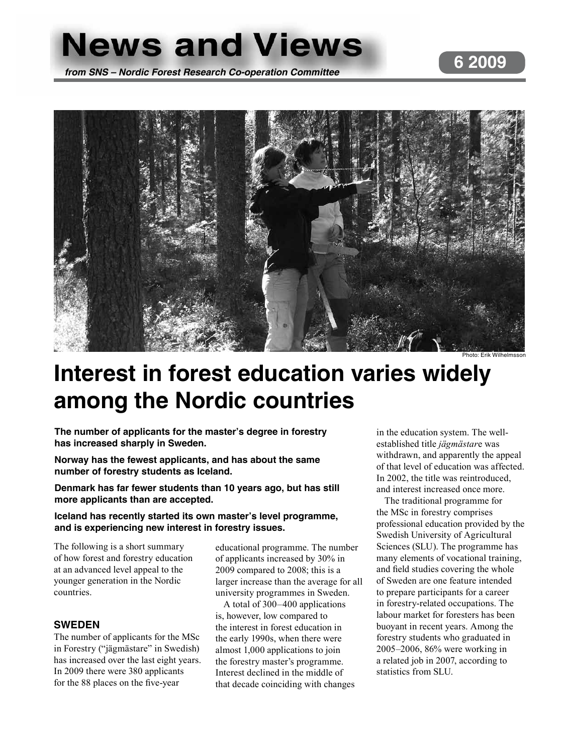# **News and Views**



Photo: Erik Wilhelmsson

## **Interest in forest education varies widely among the Nordic countries**

**The number of applicants for the master's degree in forestry has increased sharply in Sweden.** 

**Norway has the fewest applicants, and has about the same number of forestry students as Iceland.** 

**Denmark has far fewer students than 10 years ago, but has still more applicants than are accepted.** 

### **Iceland has recently started its own master's level programme, and is experiencing new interest in forestry issues.**

The following is a short summary of how forest and forestry education at an advanced level appeal to the younger generation in the Nordic countries.

## **SWEDEN**

The number of applicants for the MSc in Forestry ("jägmästare" in Swedish) has increased over the last eight years. In 2009 there were 380 applicants for the 88 places on the five-year

educational programme. The number of applicants increased by 30% in 2009 compared to 2008; this is a larger increase than the average for all university programmes in Sweden.

A total of 300–400 applications is, however, low compared to the interest in forest education in the early 1990s, when there were almost 1,000 applications to join the forestry master's programme. Interest declined in the middle of that decade coinciding with changes in the education system. The wellestablished title *jägmästar*e was withdrawn, and apparently the appeal of that level of education was affected. In 2002, the title was reintroduced, and interest increased once more.

The traditional programme for the MSc in forestry comprises professional education provided by the Swedish University of Agricultural Sciences (SLU). The programme has many elements of vocational training, and field studies covering the whole of Sweden are one feature intended to prepare participants for a career in forestry-related occupations. The labour market for foresters has been buoyant in recent years. Among the forestry students who graduated in 2005–2006, 86% were working in a related job in 2007, according to statistics from SLU.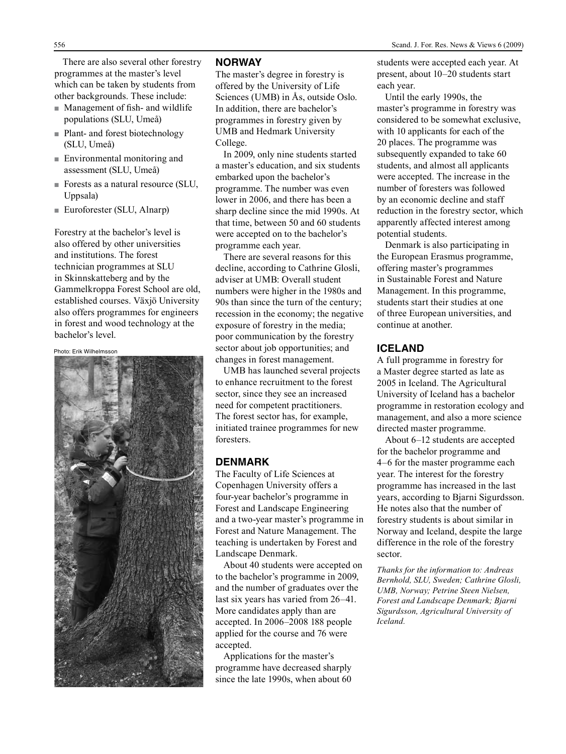There are also several other forestry programmes at the master's level which can be taken by students from other backgrounds. These include:

- $\blacksquare$  Management of fish- and wildlife populations (SLU, Umeå)
- $\blacksquare$  Plant- and forest biotechnology (SLU, Umeå)
- $\blacksquare$  Environmental monitoring and assessment (SLU, Umeå)
- Forests as a natural resource (SLU, Uppsala)
- $\blacksquare$  Euroforester (SLU, Alnarp)

Forestry at the bachelor's level is also offered by other universities and institutions. The forest technician programmes at SLU in Skinnskatteberg and by the Gammelkroppa Forest School are old, established courses. Växjö University also offers programmes for engineers in forest and wood technology at the bachelor's level.

Photo: Erik Wilhelmsson



#### **NORWAY**

The master's degree in forestry is offered by the University of Life Sciences (UMB) in Ås, outside Oslo. In addition, there are bachelor's programmes in forestry given by UMB and Hedmark University College.

In 2009, only nine students started a master's education, and six students embarked upon the bachelor's programme. The number was even lower in 2006, and there has been a sharp decline since the mid 1990s. At that time, between 50 and 60 students were accepted on to the bachelor's programme each year.

There are several reasons for this decline, according to Cathrine Glosli, adviser at UMB: Overall student numbers were higher in the 1980s and 90s than since the turn of the century; recession in the economy; the negative exposure of forestry in the media; poor communication by the forestry sector about job opportunities; and changes in forest management.

UMB has launched several projects to enhance recruitment to the forest sector, since they see an increased need for competent practitioners. The forest sector has, for example, initiated trainee programmes for new foresters.

#### **DENMARK**

The Faculty of Life Sciences at Copenhagen University offers a four-year bachelor's programme in Forest and Landscape Engineering and a two-year master's programme in Forest and Nature Management. The teaching is undertaken by Forest and Landscape Denmark.

About 40 students were accepted on to the bachelor's programme in 2009, and the number of graduates over the last six years has varied from 26–41. More candidates apply than are accepted. In 2006–2008 188 people applied for the course and 76 were accepted.

Applications for the master's programme have decreased sharply since the late 1990s, when about 60 students were accepted each year. At present, about 10–20 students start each year.

Until the early 1990s, the master's programme in forestry was considered to be somewhat exclusive, with 10 applicants for each of the 20 places. The programme was subsequently expanded to take 60 students, and almost all applicants were accepted. The increase in the number of foresters was followed by an economic decline and staff reduction in the forestry sector, which apparently affected interest among potential students.

Denmark is also participating in the European Erasmus programme, offering master's programmes in Sustainable Forest and Nature Management. In this programme, students start their studies at one of three European universities, and continue at another.

### **ICELAND**

A full programme in forestry for a Master degree started as late as 2005 in Iceland. The Agricultural University of Iceland has a bachelor programme in restoration ecology and management, and also a more science directed master programme.

About 6–12 students are accepted for the bachelor programme and 4–6 for the master programme each year. The interest for the forestry programme has increased in the last years, according to Bjarni Sigurdsson. He notes also that the number of forestry students is about similar in Norway and Iceland, despite the large difference in the role of the forestry sector.

*Thanks for the information to: Andreas Bernhold, SLU, Sweden; Cathrine Glosli, UMB, Norway; Petrine Steen Nielsen, Forest and Landscape Denmark; Bjarni Sigurdsson, Agricultural University of Iceland.*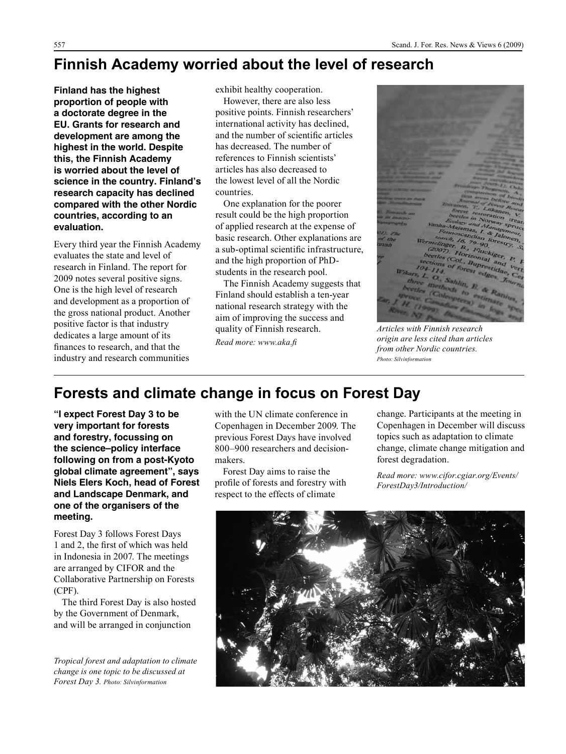## **Finnish Academy worried about the level of research**

**Finland has the highest proportion of people with a doctorate degree in the EU. Grants for research and development are among the highest in the world. Despite this, the Finnish Academy is worried about the level of science in the country. Finland's research capacity has declined compared with the other Nordic countries, according to an evaluation.**

Every third year the Finnish Academy evaluates the state and level of research in Finland. The report for 2009 notes several positive signs. One is the high level of research and development as a proportion of the gross national product. Another positive factor is that industry dedicates a large amount of its finances to research, and that the industry and research communities

exhibit healthy cooperation.

However, there are also less positive points. Finnish researchers' international activity has declined, and the number of scientific articles has decreased. The number of references to Finnish scientists' articles has also decreased to the lowest level of all the Nordic countries.

One explanation for the poorer result could be the high proportion of applied research at the expense of basic research. Other explanations are a sub-optimal scientific infrastructure, and the high proportion of PhDstudents in the research pool.

The Finnish Academy suggests that Finland should establish a ten-year national research strategy with the aim of improving the success and quality of Finnish research. *Read more: www.aka.fi*

*Articles with Finnish research origin are less cited than articles from other Nordic countries. Photo: Silvinformation*

## **Forests and climate change in focus on Forest Day**

**"I expect Forest Day 3 to be very important for forests and forestry, focussing on the science–policy interface following on from a post-Kyoto global climate agreement", says Niels Elers Koch, head of Forest and Landscape Denmark, and one of the organisers of the meeting.**

Forest Day 3 follows Forest Days 1 and 2, the first of which was held in Indonesia in 2007. The meetings are arranged by CIFOR and the Collaborative Partnership on Forests (CPF).

The third Forest Day is also hosted by the Government of Denmark, and will be arranged in conjunction

*Tropical forest and adaptation to climate change is one topic to be discussed at Forest Day 3. Photo: Silvinformation*

with the UN climate conference in Copenhagen in December 2009. The previous Forest Days have involved 800–900 researchers and decisionmakers.

Forest Day aims to raise the profile of forests and forestry with respect to the effects of climate

change. Participants at the meeting in Copenhagen in December will discuss topics such as adaptation to climate change, climate change mitigation and forest degradation.

*Read more: www.cifor.cgiar.org/Events/ ForestDay3/Introduction/*